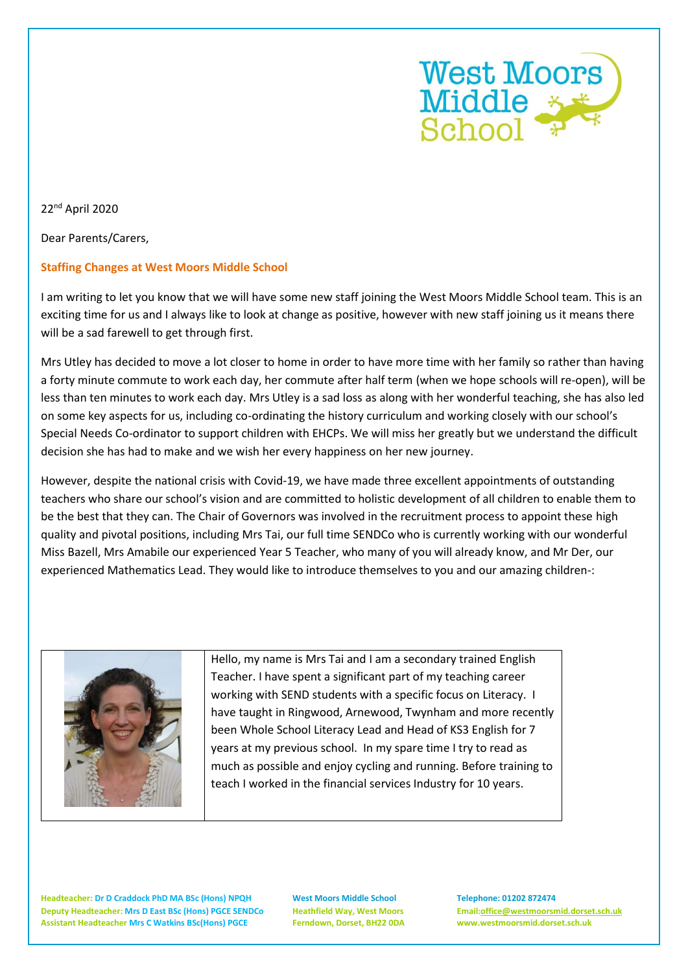

22nd April 2020

Dear Parents/Carers,

## **Staffing Changes at West Moors Middle School**

I am writing to let you know that we will have some new staff joining the West Moors Middle School team. This is an exciting time for us and I always like to look at change as positive, however with new staff joining us it means there will be a sad farewell to get through first.

Mrs Utley has decided to move a lot closer to home in order to have more time with her family so rather than having a forty minute commute to work each day, her commute after half term (when we hope schools will re-open), will be less than ten minutes to work each day. Mrs Utley is a sad loss as along with her wonderful teaching, she has also led on some key aspects for us, including co-ordinating the history curriculum and working closely with our school's Special Needs Co-ordinator to support children with EHCPs. We will miss her greatly but we understand the difficult decision she has had to make and we wish her every happiness on her new journey.

However, despite the national crisis with Covid-19, we have made three excellent appointments of outstanding teachers who share our school's vision and are committed to holistic development of all children to enable them to be the best that they can. The Chair of Governors was involved in the recruitment process to appoint these high quality and pivotal positions, including Mrs Tai, our full time SENDCo who is currently working with our wonderful Miss Bazell, Mrs Amabile our experienced Year 5 Teacher, who many of you will already know, and Mr Der, our experienced Mathematics Lead. They would like to introduce themselves to you and our amazing children-:



Hello, my name is Mrs Tai and I am a secondary trained English Teacher. I have spent a significant part of my teaching career working with SEND students with a specific focus on Literacy. I have taught in Ringwood, Arnewood, Twynham and more recently been Whole School Literacy Lead and Head of KS3 English for 7 years at my previous school. In my spare time I try to read as much as possible and enjoy cycling and running. Before training to teach I worked in the financial services Industry for 10 years.

**Headteacher: Dr D Craddock PhD MA BSc (Hons) NPQH West Moors Middle School Telephone: 01202 872474 Deputy Headteacher: Mrs D East BSc (Hons) PGCE SENDCo Heathfield Way, West Moors Email[:office@westmoorsmid.dorset.sch.uk](mailto:office@westmoorsmid.dorset.sch.uk) Assistant Headteacher Mrs C Watkins BSc(Hons) PGCE Ferndown, Dorset, BH22 0DA www.westmoorsmid.dorset.sch.uk**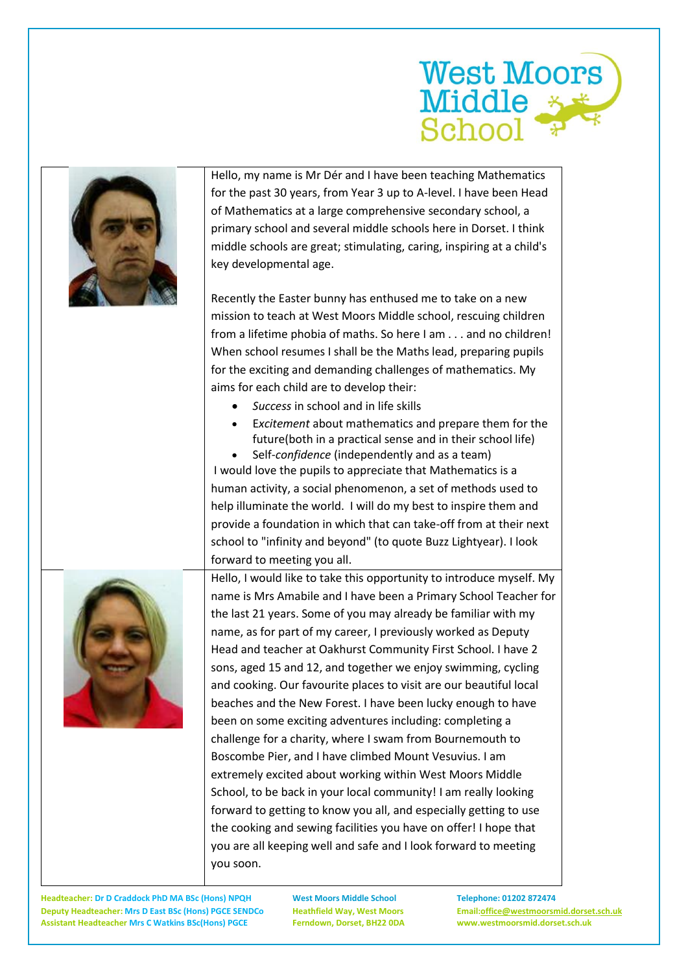

| Hello, my name is Mr Dér and I have been teaching Mathematics<br>for the past 30 years, from Year 3 up to A-level. I have been Head<br>of Mathematics at a large comprehensive secondary school, a<br>primary school and several middle schools here in Dorset. I think<br>middle schools are great; stimulating, caring, inspiring at a child's<br>key developmental age.<br>Recently the Easter bunny has enthused me to take on a new<br>mission to teach at West Moors Middle school, rescuing children<br>from a lifetime phobia of maths. So here I am and no children!<br>When school resumes I shall be the Maths lead, preparing pupils<br>for the exciting and demanding challenges of mathematics. My<br>aims for each child are to develop their:<br>Success in school and in life skills<br>Excitement about mathematics and prepare them for the<br>future(both in a practical sense and in their school life)<br>Self-confidence (independently and as a team)<br>I would love the pupils to appreciate that Mathematics is a<br>human activity, a social phenomenon, a set of methods used to<br>help illuminate the world. I will do my best to inspire them and<br>provide a foundation in which that can take-off from at their next<br>school to "infinity and beyond" (to quote Buzz Lightyear). I look<br>forward to meeting you all. |
|-------------------------------------------------------------------------------------------------------------------------------------------------------------------------------------------------------------------------------------------------------------------------------------------------------------------------------------------------------------------------------------------------------------------------------------------------------------------------------------------------------------------------------------------------------------------------------------------------------------------------------------------------------------------------------------------------------------------------------------------------------------------------------------------------------------------------------------------------------------------------------------------------------------------------------------------------------------------------------------------------------------------------------------------------------------------------------------------------------------------------------------------------------------------------------------------------------------------------------------------------------------------------------------------------------------------------------------------------------------|
| Hello, I would like to take this opportunity to introduce myself. My<br>name is Mrs Amabile and I have been a Primary School Teacher for<br>the last 21 years. Some of you may already be familiar with my<br>name, as for part of my career, I previously worked as Deputy<br>Head and teacher at Oakhurst Community First School. I have 2<br>sons, aged 15 and 12, and together we enjoy swimming, cycling<br>and cooking. Our favourite places to visit are our beautiful local<br>beaches and the New Forest. I have been lucky enough to have<br>been on some exciting adventures including: completing a<br>challenge for a charity, where I swam from Bournemouth to<br>Boscombe Pier, and I have climbed Mount Vesuvius. I am<br>extremely excited about working within West Moors Middle<br>School, to be back in your local community! I am really looking<br>forward to getting to know you all, and especially getting to use<br>the cooking and sewing facilities you have on offer! I hope that<br>you are all keeping well and safe and I look forward to meeting<br>you soon.                                                                                                                                                                                                                                                              |

**Headteacher: Dr D Craddock PhD MA BSc (Hons) NPQH West Moors Middle School Telephone: 01202 872474 Deputy Headteacher: Mrs D East BSc (Hons) PGCE SENDCo Heathfield Way, West Moors Email[:office@westmoorsmid.dorset.sch.uk](mailto:office@westmoorsmid.dorset.sch.uk) Assistant Headteacher Mrs C Watkins BSc(Hons) PGCE Ferndown, Dorset, BH22 0DA www.westmoorsmid.dorset.sch.uk**